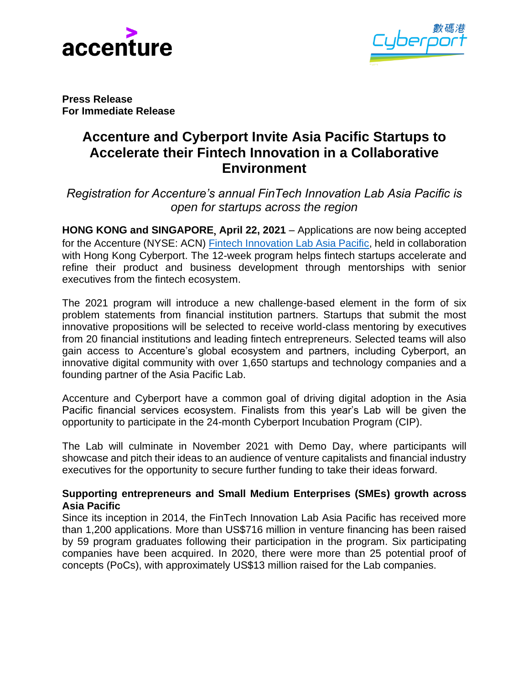



**Press Release For Immediate Release**

# **Accenture and Cyberport Invite Asia Pacific Startups to Accelerate their Fintech Innovation in a Collaborative Environment**

*Registration for Accenture's annual FinTech Innovation Lab Asia Pacific is open for startups across the region*

**HONG KONG and SINGAPORE**, **April 22, 2021** – Applications are now being accepted for the Accenture (NYSE: ACN) [Fintech Innovation Lab Asia Pacific,](https://www.fintechinnovationlab.com/regions/asia-pacific/) held in collaboration with Hong Kong Cyberport. The 12-week program helps fintech startups accelerate and refine their product and business development through mentorships with senior executives from the fintech ecosystem.

The 2021 program will introduce a new challenge-based element in the form of six problem statements from financial institution partners. Startups that submit the most innovative propositions will be selected to receive world-class mentoring by executives from 20 financial institutions and leading fintech entrepreneurs. Selected teams will also gain access to Accenture's global ecosystem and partners, including Cyberport, an innovative digital community with over 1,650 startups and technology companies and a founding partner of the Asia Pacific Lab.

Accenture and Cyberport have a common goal of driving digital adoption in the Asia Pacific financial services ecosystem. Finalists from this year's Lab will be given the opportunity to participate in the 24-month Cyberport Incubation Program (CIP).

The Lab will culminate in November 2021 with Demo Day, where participants will showcase and pitch their ideas to an audience of venture capitalists and financial industry executives for the opportunity to secure further funding to take their ideas forward.

## **Supporting entrepreneurs and Small Medium Enterprises (SMEs) growth across Asia Pacific**

Since its inception in 2014, the FinTech Innovation Lab Asia Pacific has received more than 1,200 applications. More than US\$716 million in venture financing has been raised by 59 program graduates following their participation in the program. Six participating companies have been acquired. In 2020, there were more than 25 potential proof of concepts (PoCs), with approximately US\$13 million raised for the Lab companies.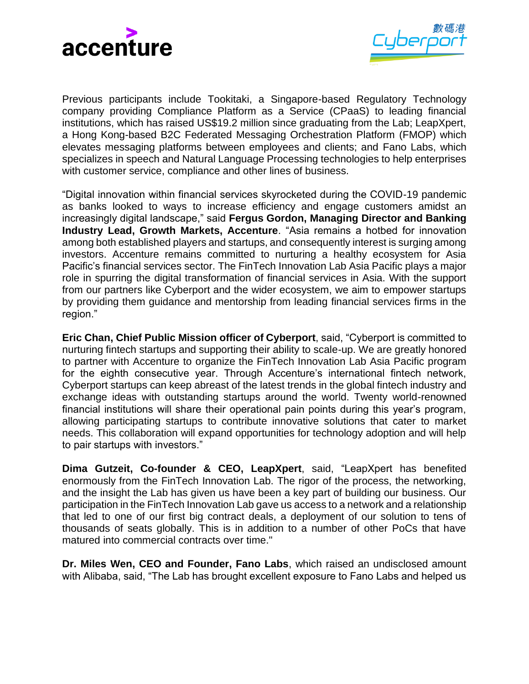



Previous participants include Tookitaki, a Singapore-based Regulatory Technology company providing Compliance Platform as a Service (CPaaS) to leading financial institutions, which has raised US\$19.2 million since graduating from the Lab; LeapXpert, a Hong Kong-based B2C Federated Messaging Orchestration Platform (FMOP) which elevates messaging platforms between employees and clients; and Fano Labs, which specializes in speech and Natural Language Processing technologies to help enterprises with customer service, compliance and other lines of business.

"Digital innovation within financial services skyrocketed during the COVID-19 pandemic as banks looked to ways to increase efficiency and engage customers amidst an increasingly digital landscape," said **Fergus Gordon, Managing Director and Banking Industry Lead, Growth Markets, Accenture**. "Asia remains a hotbed for innovation among both established players and startups, and consequently interest is surging among investors. Accenture remains committed to nurturing a healthy ecosystem for Asia Pacific's financial services sector. The FinTech Innovation Lab Asia Pacific plays a major role in spurring the digital transformation of financial services in Asia. With the support from our partners like Cyberport and the wider ecosystem, we aim to empower startups by providing them guidance and mentorship from leading financial services firms in the region."

**Eric Chan, Chief Public Mission officer of Cyberport**, said, "Cyberport is committed to nurturing fintech startups and supporting their ability to scale-up. We are greatly honored to partner with Accenture to organize the FinTech Innovation Lab Asia Pacific program for the eighth consecutive year. Through Accenture's international fintech network, Cyberport startups can keep abreast of the latest trends in the global fintech industry and exchange ideas with outstanding startups around the world. Twenty world-renowned financial institutions will share their operational pain points during this year's program, allowing participating startups to contribute innovative solutions that cater to market needs. This collaboration will expand opportunities for technology adoption and will help to pair startups with investors."

**Dima Gutzeit, Co-founder & CEO, LeapXpert**, said, "LeapXpert has benefited enormously from the FinTech Innovation Lab. The rigor of the process, the networking, and the insight the Lab has given us have been a key part of building our business. Our participation in the FinTech Innovation Lab gave us access to a network and a relationship that led to one of our first big contract deals, a deployment of our solution to tens of thousands of seats globally. This is in addition to a number of other PoCs that have matured into commercial contracts over time."

**Dr. Miles Wen, CEO and Founder, Fano Labs**, which raised an undisclosed amount with Alibaba, said, "The Lab has brought excellent exposure to Fano Labs and helped us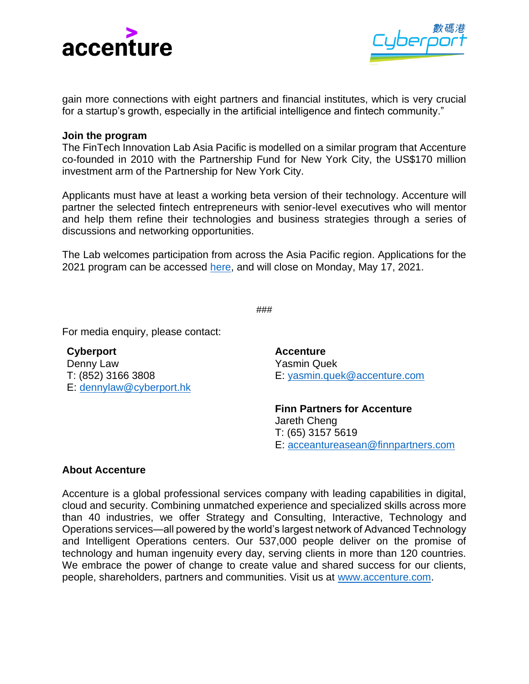



gain more connections with eight partners and financial institutes, which is very crucial for a startup's growth, especially in the artificial intelligence and fintech community."

#### **Join the program**

The FinTech Innovation Lab Asia Pacific is modelled on a similar program that Accenture co-founded in 2010 with the Partnership Fund for New York City, the US\$170 million investment arm of the Partnership for New York City.

Applicants must have at least a working beta version of their technology. Accenture will partner the selected fintech entrepreneurs with senior-level executives who will mentor and help them refine their technologies and business strategies through a series of discussions and networking opportunities.

The Lab welcomes participation from across the Asia Pacific region. Applications for the 2021 program can be accessed [here,](https://www.fintechinnovationlab.com/apply/asia-pacific/) and will close on Monday, May 17, 2021.

```
###
```
For media enquiry, please contact:

**Cyberport**  Denny Law T: (852) 3166 3808 E: [dennylaw@cyberport.hk](mailto:dennylaw@cyberport.hk)

**Accenture** Yasmin Quek E: [yasmin.quek@accenture.com](mailto:yasmin.quek@accenture.com)

**Finn Partners for Accenture** Jareth Cheng T: (65) 3157 5619 E: acceantureasean@finnpartners.com

### **About Accenture**

Accenture is a global professional services company with leading capabilities in digital, cloud and security. Combining unmatched experience and specialized skills across more than 40 industries, we offer Strategy and Consulting, Interactive, Technology and Operations services—all powered by the world's largest network of Advanced Technology and Intelligent Operations centers. Our 537,000 people deliver on the promise of technology and human ingenuity every day, serving clients in more than 120 countries. We embrace the power of change to create value and shared success for our clients, people, shareholders, partners and communities. Visit us at [www.accenture.com.](http://www.accenture.com/)